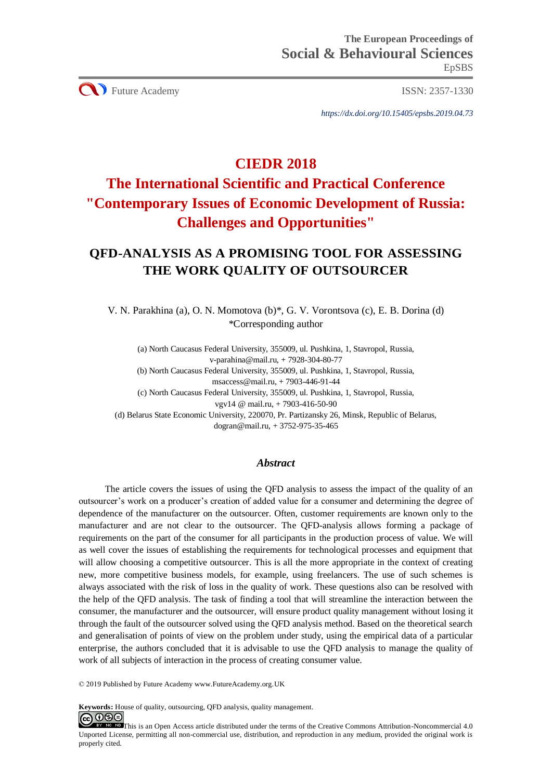**CO** Future Academy ISSN: 2357-1330

*https://dx.doi.org/10.15405/epsbs.2019.04.73*

# **CIEDR 2018**

# **The International Scientific and Practical Conference "Contemporary Issues of Economic Development of Russia: Challenges and Opportunities"**

# **QFD-ANALYSIS AS A PROMISING TOOL FOR ASSESSING THE WORK QUALITY OF OUTSOURCER**

V. N. Parakhina (a), O. N. Momotova (b)\*, G. V. Vorontsova (c), E. B. Dorina (d) \*Corresponding author

(a) North Caucasus Federal University, 355009, ul. Pushkina, 1, Stavropol, Russia, v-parahina@mail.ru, + 7928-304-80-77

(b) North Caucasus Federal University, 355009, ul. Pushkina, 1, Stavropol, Russia,

msaccess@mail.ru, + 7903-446-91-44

(c) North Caucasus Federal University, 355009, ul. Pushkina, 1, Stavropol, Russia, vgv14 @ mail.ru, + 7903-416-50-90

(d) Belarus State Economic University, 220070, Pr. Partizansky 26, Minsk, Republic of Belarus, dogran@mail.ru, + 3752-975-35-465

# *Abstract*

The article covers the issues of using the QFD analysis to assess the impact of the quality of an outsourcer's work on a producer's creation of added value for a consumer and determining the degree of dependence of the manufacturer on the outsourcer. Often, customer requirements are known only to the manufacturer and are not clear to the outsourcer. The QFD-analysis allows forming a package of requirements on the part of the consumer for all participants in the production process of value. We will as well cover the issues of establishing the requirements for technological processes and equipment that will allow choosing a competitive outsourcer. This is all the more appropriate in the context of creating new, more competitive business models, for example, using freelancers. The use of such schemes is always associated with the risk of loss in the quality of work. These questions also can be resolved with the help of the QFD analysis. The task of finding a tool that will streamline the interaction between the consumer, the manufacturer and the outsourcer, will ensure product quality management without losing it through the fault of the outsourcer solved using the QFD analysis method. Based on the theoretical search and generalisation of points of view on the problem under study, using the empirical data of a particular enterprise, the authors concluded that it is advisable to use the QFD analysis to manage the quality of work of all subjects of interaction in the process of creating consumer value.

© 2019 Published by Future Academy www.FutureAcademy.org.UK

**Keywords:** House of quality, outsourcing, QFD analysis, quality management.<br> **C**  $\bigcirc$   $\bigcirc$   $\bigcirc$   $\bigcirc$ 

This is an Open Access article distributed under the terms of the Creative Commons Attribution-Noncommercial 4.0 Unported License, permitting all non-commercial use, distribution, and reproduction in any medium, provided the original work is properly cited.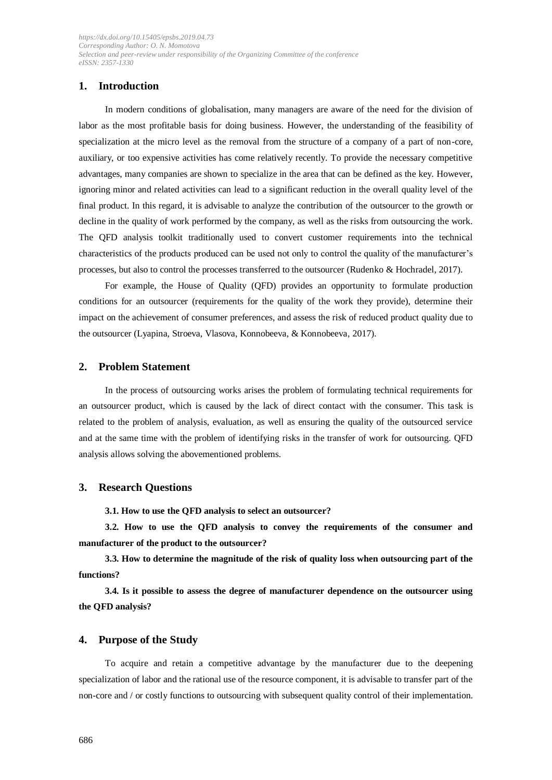# **1. Introduction**

In modern conditions of globalisation, many managers are aware of the need for the division of labor as the most profitable basis for doing business. However, the understanding of the feasibility of specialization at the micro level as the removal from the structure of a company of a part of non-core, auxiliary, or too expensive activities has come relatively recently. To provide the necessary competitive advantages, many companies are shown to specialize in the area that can be defined as the key. However, ignoring minor and related activities can lead to a significant reduction in the overall quality level of the final product. In this regard, it is advisable to analyze the contribution of the outsourcer to the growth or decline in the quality of work performed by the company, as well as the risks from outsourcing the work. The QFD analysis toolkit traditionally used to convert customer requirements into the technical characteristics of the products produced can be used not only to control the quality of the manufacturer's processes, but also to control the processes transferred to the outsourcer (Rudenko & Hochradel, 2017).

For example, the House of Quality (QFD) provides an opportunity to formulate production conditions for an outsourcer (requirements for the quality of the work they provide), determine their impact on the achievement of consumer preferences, and assess the risk of reduced product quality due to the outsourcer (Lyapina, Stroeva, Vlasova, Konnobeeva, & Konnobeeva, 2017).

#### **2. Problem Statement**

In the process of outsourcing works arises the problem of formulating technical requirements for an outsourcer product, which is caused by the lack of direct contact with the consumer. This task is related to the problem of analysis, evaluation, as well as ensuring the quality of the outsourced service and at the same time with the problem of identifying risks in the transfer of work for outsourcing. QFD analysis allows solving the abovementioned problems.

#### **3. Research Questions**

**3.1. How to use the QFD analysis to select an outsourcer?**

**3.2. How to use the QFD analysis to convey the requirements of the consumer and manufacturer of the product to the outsourcer?**

**3.3. How to determine the magnitude of the risk of quality loss when outsourcing part of the functions?**

**3.4. Is it possible to assess the degree of manufacturer dependence on the outsourcer using the QFD analysis?**

#### **4. Purpose of the Study**

To acquire and retain a competitive advantage by the manufacturer due to the deepening specialization of labor and the rational use of the resource component, it is advisable to transfer part of the non-core and / or costly functions to outsourcing with subsequent quality control of their implementation.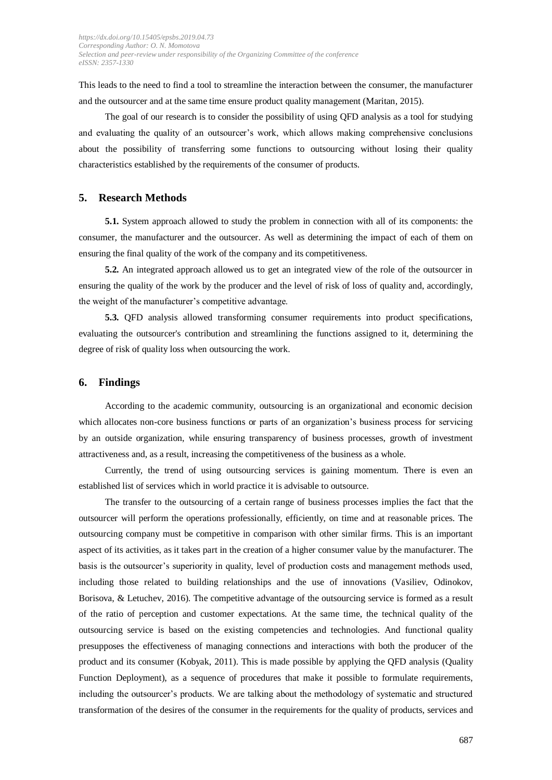This leads to the need to find a tool to streamline the interaction between the consumer, the manufacturer and the outsourcer and at the same time ensure product quality management (Maritan, 2015).

The goal of our research is to consider the possibility of using QFD analysis as a tool for studying and evaluating the quality of an outsourcer's work, which allows making comprehensive conclusions about the possibility of transferring some functions to outsourcing without losing their quality characteristics established by the requirements of the consumer of products.

### **5. Research Methods**

**5.1.** System approach allowed to study the problem in connection with all of its components: the consumer, the manufacturer and the outsourcer. As well as determining the impact of each of them on ensuring the final quality of the work of the company and its competitiveness.

**5.2.** An integrated approach allowed us to get an integrated view of the role of the outsourcer in ensuring the quality of the work by the producer and the level of risk of loss of quality and, accordingly, the weight of the manufacturer's competitive advantage.

**5.3.** QFD analysis allowed transforming consumer requirements into product specifications, evaluating the outsourcer's contribution and streamlining the functions assigned to it, determining the degree of risk of quality loss when outsourcing the work.

#### **6. Findings**

According to the academic community, outsourcing is an organizational and economic decision which allocates non-core business functions or parts of an organization's business process for servicing by an outside organization, while ensuring transparency of business processes, growth of investment attractiveness and, as a result, increasing the competitiveness of the business as a whole.

Currently, the trend of using outsourcing services is gaining momentum. There is even an established list of services which in world practice it is advisable to outsource.

The transfer to the outsourcing of a certain range of business processes implies the fact that the outsourcer will perform the operations professionally, efficiently, on time and at reasonable prices. The outsourcing company must be competitive in comparison with other similar firms. This is an important aspect of its activities, as it takes part in the creation of a higher consumer value by the manufacturer. The basis is the outsourcer's superiority in quality, level of production costs and management methods used, including those related to building relationships and the use of innovations (Vasiliev, Odinokov, Borisova, & Letuchev, 2016). The competitive advantage of the outsourcing service is formed as a result of the ratio of perception and customer expectations. At the same time, the technical quality of the outsourcing service is based on the existing competencies and technologies. And functional quality presupposes the effectiveness of managing connections and interactions with both the producer of the product and its consumer (Kobyak, 2011). This is made possible by applying the QFD analysis (Quality Function Deployment), as a sequence of procedures that make it possible to formulate requirements, including the outsourcer's products. We are talking about the methodology of systematic and structured transformation of the desires of the consumer in the requirements for the quality of products, services and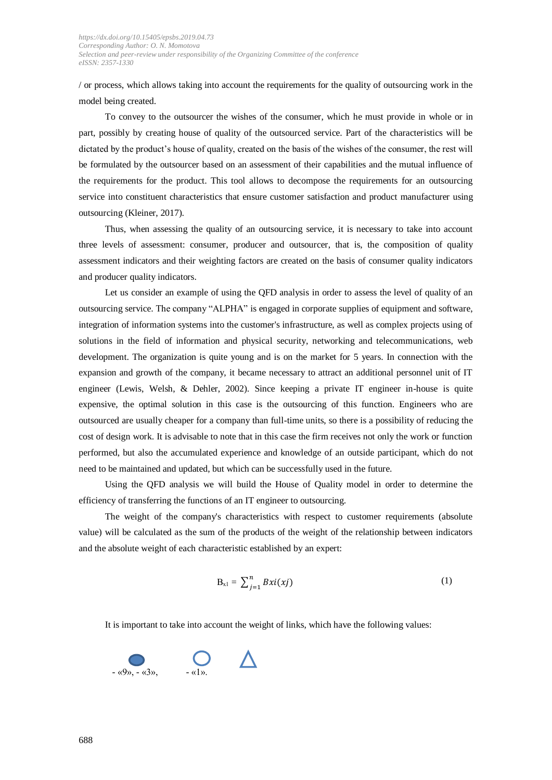/ or process, which allows taking into account the requirements for the quality of outsourcing work in the model being created.

To convey to the outsourcer the wishes of the consumer, which he must provide in whole or in part, possibly by creating house of quality of the outsourced service. Part of the characteristics will be dictated by the product's house of quality, created on the basis of the wishes of the consumer, the rest will be formulated by the outsourcer based on an assessment of their capabilities and the mutual influence of the requirements for the product. This tool allows to decompose the requirements for an outsourcing service into constituent characteristics that ensure customer satisfaction and product manufacturer using outsourcing (Kleiner, 2017).

Thus, when assessing the quality of an outsourcing service, it is necessary to take into account three levels of assessment: consumer, producer and outsourcer, that is, the composition of quality assessment indicators and their weighting factors are created on the basis of consumer quality indicators and producer quality indicators.

Let us consider an example of using the QFD analysis in order to assess the level of quality of an outsourcing service. The company "ALPHA" is engaged in corporate supplies of equipment and software, integration of information systems into the customer's infrastructure, as well as complex projects using of solutions in the field of information and physical security, networking and telecommunications, web development. The organization is quite young and is on the market for 5 years. In connection with the expansion and growth of the company, it became necessary to attract an additional personnel unit of IT engineer (Lewis, Welsh, & Dehler, 2002). Since keeping a private IT engineer in-house is quite expensive, the optimal solution in this case is the outsourcing of this function. Engineers who are outsourced are usually cheaper for a company than full-time units, so there is a possibility of reducing the cost of design work. It is advisable to note that in this case the firm receives not only the work or function performed, but also the accumulated experience and knowledge of an outside participant, which do not need to be maintained and updated, but which can be successfully used in the future.

Using the QFD analysis we will build the House of Quality model in order to determine the efficiency of transferring the functions of an IT engineer to outsourcing.

The weight of the company's characteristics with respect to customer requirements (absolute value) will be calculated as the sum of the products of the weight of the relationship between indicators and the absolute weight of each characteristic established by an expert:

$$
B_{x1} = \sum_{j=1}^{n} Bxi(xj) \tag{1}
$$

It is important to take into account the weight of links, which have the following values:

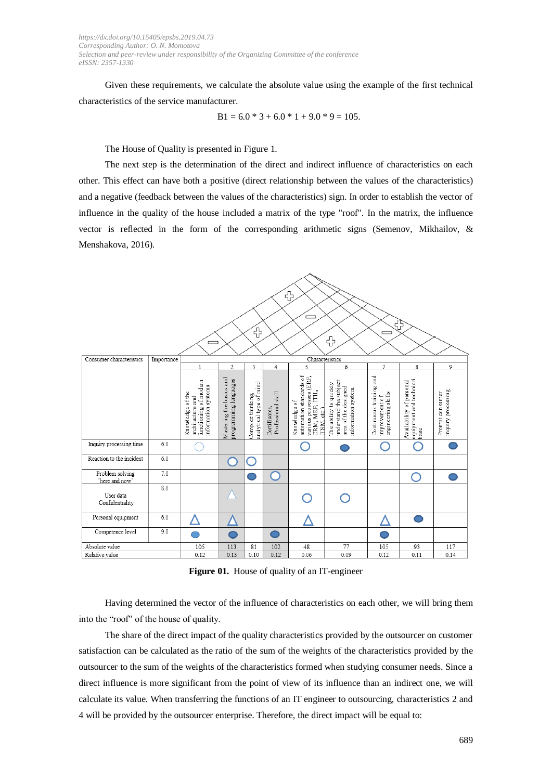Given these requirements, we calculate the absolute value using the example of the first technical characteristics of the service manufacturer.

$$
B1 = 6.0 * 3 + 6.0 * 1 + 9.0 * 9 = 105.
$$

The House of Quality is presented in Figure 1.

The next step is the determination of the direct and indirect influence of characteristics on each other. This effect can have both a positive (direct relationship between the values of the characteristics) and a negative (feedback between the values of the characteristics) sign. In order to establish the vector of influence in the quality of the house included a matrix of the type "roof". In the matrix, the influence vector is reflected in the form of the corresponding arithmetic signs (Semenov, Mikhailov, & Menshakova, 2016).



**Figure 01.** House of quality of an IT-engineer

Having determined the vector of the influence of characteristics on each other, we will bring them into the "roof" of the house of quality.

The share of the direct impact of the quality characteristics provided by the outsourcer on customer satisfaction can be calculated as the ratio of the sum of the weights of the characteristics provided by the outsourcer to the sum of the weights of the characteristics formed when studying consumer needs. Since a direct influence is more significant from the point of view of its influence than an indirect one, we will calculate its value. When transferring the functions of an IT engineer to outsourcing, characteristics 2 and 4 will be provided by the outsourcer enterprise. Therefore, the direct impact will be equal to: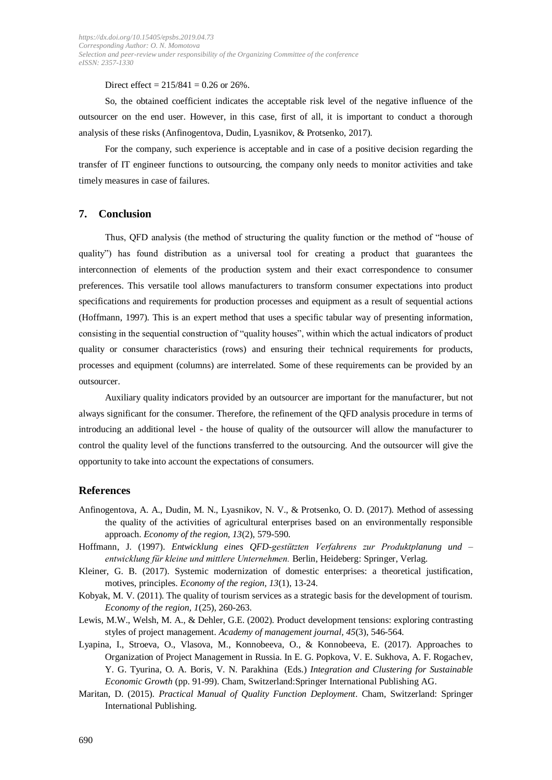Direct effect =  $215/841 = 0.26$  or  $26\%$ .

So, the obtained coefficient indicates the acceptable risk level of the negative influence of the outsourcer on the end user. However, in this case, first of all, it is important to conduct a thorough analysis of these risks (Anfinogentova, Dudin, Lyasnikov, & Protsenko, 2017).

For the company, such experience is acceptable and in case of a positive decision regarding the transfer of IT engineer functions to outsourcing, the company only needs to monitor activities and take timely measures in case of failures.

## **7. Conclusion**

Thus, QFD analysis (the method of structuring the quality function or the method of "house of quality") has found distribution as a universal tool for creating a product that guarantees the interconnection of elements of the production system and their exact correspondence to consumer preferences. This versatile tool allows manufacturers to transform consumer expectations into product specifications and requirements for production processes and equipment as a result of sequential actions (Hoffmann, 1997). This is an expert method that uses a specific tabular way of presenting information, consisting in the sequential construction of "quality houses", within which the actual indicators of product quality or consumer characteristics (rows) and ensuring their technical requirements for products, processes and equipment (columns) are interrelated. Some of these requirements can be provided by an outsourcer.

Auxiliary quality indicators provided by an outsourcer are important for the manufacturer, but not always significant for the consumer. Therefore, the refinement of the QFD analysis procedure in terms of introducing an additional level - the house of quality of the outsourcer will allow the manufacturer to control the quality level of the functions transferred to the outsourcing. And the outsourcer will give the opportunity to take into account the expectations of consumers.

#### **References**

- Anfinogentova, A. A., Dudin, M. N., Lyasnikov, N. V., & Protsenko, O. D. (2017). Method of assessing the quality of the activities of agricultural enterprises based on an environmentally responsible approach. *Economy of the region, 13*(2), 579-590.
- Hoffmann, J. (1997). *Entwicklung eines QFD-gestützten Verfahrens zur Produktplanung und – entwicklung für kleine und mittlere Unternehmen.* Berlin, Heideberg: Springer, Verlag.
- Kleiner, G. B. (2017). Systemic modernization of domestic enterprises: a theoretical justification, motives, principles. *Economy of the region, 13*(1), 13-24.
- Kobyak, M. V. (2011). The quality of tourism services as a strategic basis for the development of tourism. *Economy of the region, 1*(25), 260-263.
- Lewis, M.W., Welsh, M. A., & Dehler, G.E. (2002). Product development tensions: exploring contrasting styles of project management. *Academy of management journal, 45*(3), 546-564.
- Lyapina, I., Stroeva, O., Vlasova, M., Konnobeeva, O., & Konnobeeva, E. (2017). Approaches to Organization of Project Management in Russia. In E. G. Popkova, V. E. Sukhova, A. F. Rogachev, Y. G. Tyurina, O. A. Boris, V. N. Parakhina (Eds.) *Integration and Clustering for Sustainable Economic Growth* (pp. 91-99). Cham, Switzerland:Springer International Publishing AG.
- Maritan, D. (2015). *Practical Manual of Quality Function Deployment*. Cham, Switzerland: Springer International Publishing.